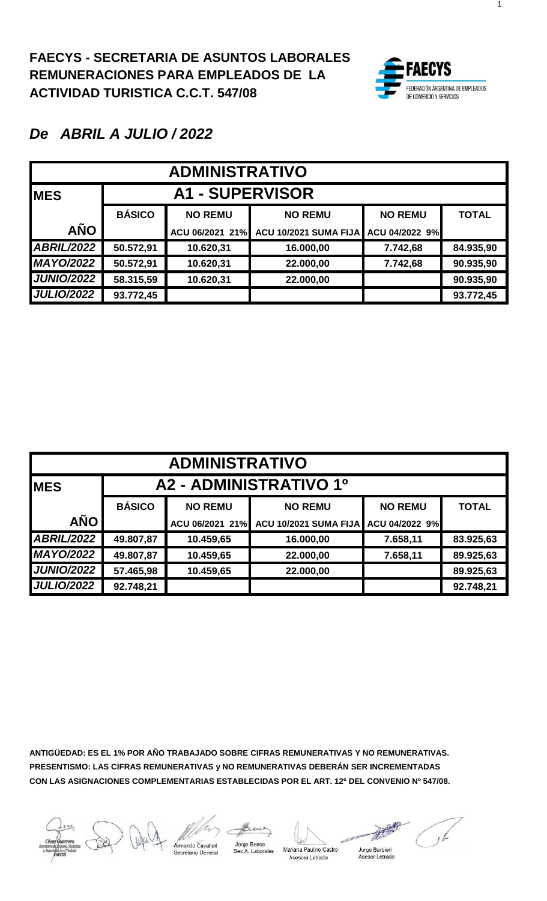

1

#### *De ABRIL A JULIO / 2022*

| <b>ADMINISTRATIVO</b> |                        |                 |                                      |                |              |  |  |  |
|-----------------------|------------------------|-----------------|--------------------------------------|----------------|--------------|--|--|--|
| <b>MES</b>            | <b>A1 - SUPERVISOR</b> |                 |                                      |                |              |  |  |  |
|                       | <b>BÁSICO</b>          | <b>NO REMU</b>  | <b>NO REMU</b>                       | <b>NO REMU</b> | <b>TOTAL</b> |  |  |  |
| <b>AÑO</b>            |                        | ACU 06/2021 21% | ACU 10/2021 SUMA FIJA ACU 04/2022 9% |                |              |  |  |  |
| <b>ABRIL/2022</b>     | 50.572,91              | 10.620,31       | 16.000,00                            | 7.742,68       | 84.935,90    |  |  |  |
| <b>MAYO/2022</b>      | 50.572,91              | 10.620,31       | 22.000,00                            | 7.742,68       | 90.935,90    |  |  |  |
| <b>JUNIO/2022</b>     | 58.315,59              | 10.620,31       | 22.000,00                            |                | 90.935,90    |  |  |  |
| <b>JULIO/2022</b>     | 93.772,45              |                 |                                      |                | 93.772,45    |  |  |  |

| <b>ADMINISTRATIVO</b> |                        |                 |                       |                |              |  |  |  |
|-----------------------|------------------------|-----------------|-----------------------|----------------|--------------|--|--|--|
| <b>MES</b>            | A2 - ADMINISTRATIVO 1º |                 |                       |                |              |  |  |  |
|                       | <b>BÁSICO</b>          | <b>NO REMU</b>  | <b>NO REMU</b>        | <b>NO REMU</b> | <b>TOTAL</b> |  |  |  |
| <b>AÑO</b>            |                        | ACU 06/2021 21% | ACU 10/2021 SUMA FIJA | ACU 04/2022 9% |              |  |  |  |
| <b>ABRIL/2022</b>     | 49.807,87              | 10.459,65       | 16.000,00             | 7.658,11       | 83.925,63    |  |  |  |
| <b>MAYO/2022</b>      | 49.807,87              | 10.459,65       | 22.000,00             | 7.658,11       | 89.925,63    |  |  |  |
| <b>JUNIO/2022</b>     | 57.465,98              | 10.459,65       | 22.000,00             |                | 89.925,63    |  |  |  |
| <b>JULIO/2022</b>     | 92.748,21              |                 |                       |                | 92.748,21    |  |  |  |

**ANTIGÜEDAD: ES EL 1% POR AÑO TRABAJADO SOBRE CIFRAS REMUNERATIVAS Y NO REMUNERATIVAS. PRESENTISMO: LAS CIFRAS REMUNERATIVAS y NO REMUNERATIVAS DEBERÁN SER INCREMENTADAS CON LAS ASIGNACIONES COMPLEMENTARIAS ESTABLECIDAS POR EL ART. 12º DEL CONVENIO Nº 547/08.**

mardo Cavalieri

Jorge Bence Sec A. Laborales

Mariana Paulno Castro Asesora Letrada

Jorge Barbieri Asesor Letrado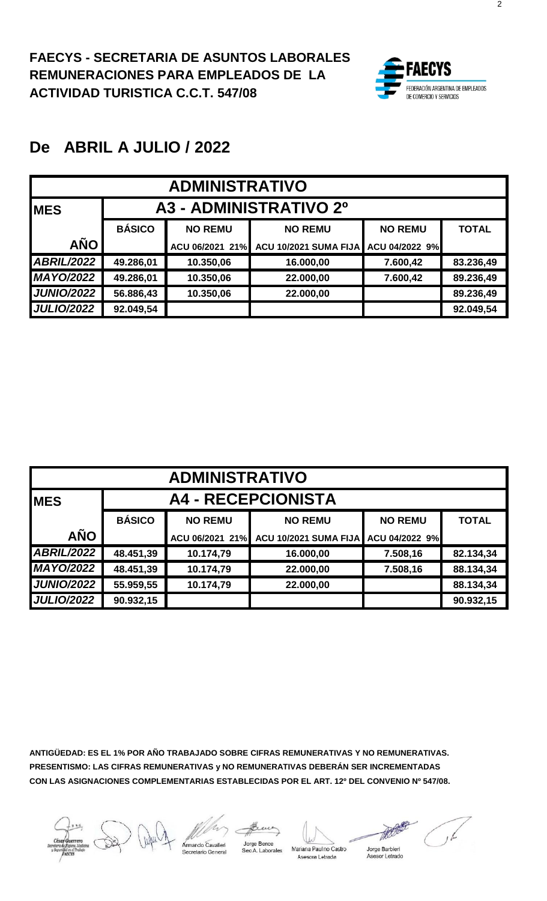

| <b>ADMINISTRATIVO</b> |                        |                 |                              |                |              |  |  |  |
|-----------------------|------------------------|-----------------|------------------------------|----------------|--------------|--|--|--|
| <b>IMES</b>           | A3 - ADMINISTRATIVO 2º |                 |                              |                |              |  |  |  |
|                       | <b>BÁSICO</b>          | <b>NO REMU</b>  | <b>NO REMU</b>               | <b>NO REMU</b> | <b>TOTAL</b> |  |  |  |
| <b>AÑO</b>            |                        | ACU 06/2021 21% | <b>ACU 10/2021 SUMA FIJA</b> | ACU 04/2022 9% |              |  |  |  |
| <b>ABRIL/2022</b>     | 49.286,01              | 10.350,06       | 16.000,00                    | 7.600,42       | 83.236,49    |  |  |  |
| <b>MAYO/2022</b>      | 49.286,01              | 10.350,06       | 22.000,00                    | 7.600,42       | 89.236,49    |  |  |  |
| <b>JUNIO/2022</b>     | 56.886,43              | 10.350,06       | 22.000,00                    |                | 89.236,49    |  |  |  |
| <b>JULIO/2022</b>     | 92.049,54              |                 |                              |                | 92.049,54    |  |  |  |

| <b>ADMINISTRATIVO</b> |                           |                 |                              |                |              |  |  |  |
|-----------------------|---------------------------|-----------------|------------------------------|----------------|--------------|--|--|--|
| <b>MES</b>            | <b>A4 - RECEPCIONISTA</b> |                 |                              |                |              |  |  |  |
|                       | <b>BÁSICO</b>             | <b>NO REMU</b>  | <b>NO REMU</b>               | <b>NO REMU</b> | <b>TOTAL</b> |  |  |  |
| <b>AÑO</b>            |                           | ACU 06/2021 21% | <b>ACU 10/2021 SUMA FIJA</b> | ACU 04/2022 9% |              |  |  |  |
| <b>ABRIL/2022</b>     | 48.451,39                 | 10.174,79       | 16.000,00                    | 7.508,16       | 82.134,34    |  |  |  |
| <b>MAYO/2022</b>      | 48.451,39                 | 10.174,79       | 22.000,00                    | 7.508,16       | 88.134,34    |  |  |  |
| <b>JUNIO/2022</b>     | 55.959,55                 | 10.174,79       | 22.000,00                    |                | 88.134,34    |  |  |  |
| <b>JULIO/2022</b>     | 90.932,15                 |                 |                              |                | 90.932,15    |  |  |  |

**ANTIGÜEDAD: ES EL 1% POR AÑO TRABAJADO SOBRE CIFRAS REMUNERATIVAS Y NO REMUNERATIVAS. PRESENTISMO: LAS CIFRAS REMUNERATIVAS y NO REMUNERATIVAS DEBERÁN SER INCREMENTADAS CON LAS ASIGNACIONES COMPLEMENTARIAS ESTABLECIDAS POR EL ART. 12º DEL CONVENIO Nº 547/08.**

mando Cavalieri

Sec A. Laborales

Mariana Paul no Castro Asesora Letrada

Jorge Barbieri Asesor Letrado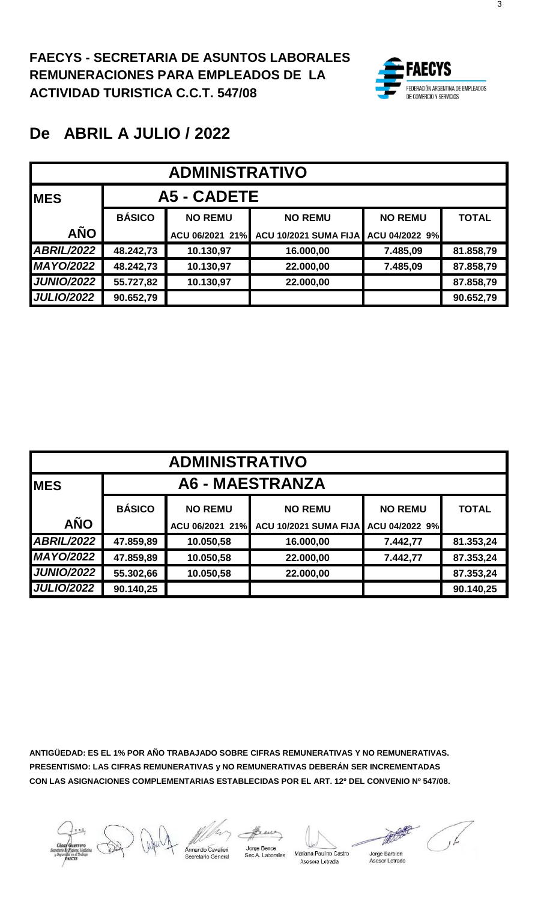

| <b>ADMINISTRATIVO</b> |               |                 |                       |                |              |  |  |  |
|-----------------------|---------------|-----------------|-----------------------|----------------|--------------|--|--|--|
| <b>MES</b>            |               | A5 - CADETE     |                       |                |              |  |  |  |
|                       | <b>BÁSICO</b> | <b>NO REMU</b>  | <b>NO REMU</b>        | <b>NO REMU</b> | <b>TOTAL</b> |  |  |  |
| <b>AÑO</b>            |               | ACU 06/2021 21% | ACU 10/2021 SUMA FIJA | ACU 04/2022 9% |              |  |  |  |
| <b>ABRIL/2022</b>     | 48.242,73     | 10.130,97       | 16.000,00             | 7.485,09       | 81.858,79    |  |  |  |
| <b>MAYO/2022</b>      | 48.242,73     | 10.130,97       | 22.000,00             | 7.485,09       | 87.858,79    |  |  |  |
| <b>JUNIO/2022</b>     | 55.727,82     | 10.130,97       | 22.000,00             |                | 87.858,79    |  |  |  |
| <b>JULIO/2022</b>     | 90.652,79     |                 |                       |                | 90.652,79    |  |  |  |

| <b>ADMINISTRATIVO</b> |                        |                 |                              |                |              |  |  |  |
|-----------------------|------------------------|-----------------|------------------------------|----------------|--------------|--|--|--|
| <b>MES</b>            | <b>A6 - MAESTRANZA</b> |                 |                              |                |              |  |  |  |
|                       | <b>BÁSICO</b>          | <b>NO REMU</b>  | <b>NO REMU</b>               | <b>NO REMU</b> | <b>TOTAL</b> |  |  |  |
| <b>AÑO</b>            |                        | ACU 06/2021 21% | <b>ACU 10/2021 SUMA FIJA</b> | ACU 04/2022 9% |              |  |  |  |
| <b>ABRIL/2022</b>     | 47.859,89              | 10.050,58       | 16.000,00                    | 7.442,77       | 81.353,24    |  |  |  |
| <b>MAYO/2022</b>      | 47.859,89              | 10.050,58       | 22.000,00                    | 7.442,77       | 87.353,24    |  |  |  |
| <b>JUNIO/2022</b>     | 55.302,66              | 10.050,58       | 22.000,00                    |                | 87.353,24    |  |  |  |
| <b>JULIO/2022</b>     | 90.140,25              |                 |                              |                | 90.140,25    |  |  |  |

Jorge Bence

Mariana Paulno Castro Asesora Letrada

Jorge Barbieri Asesor Letrado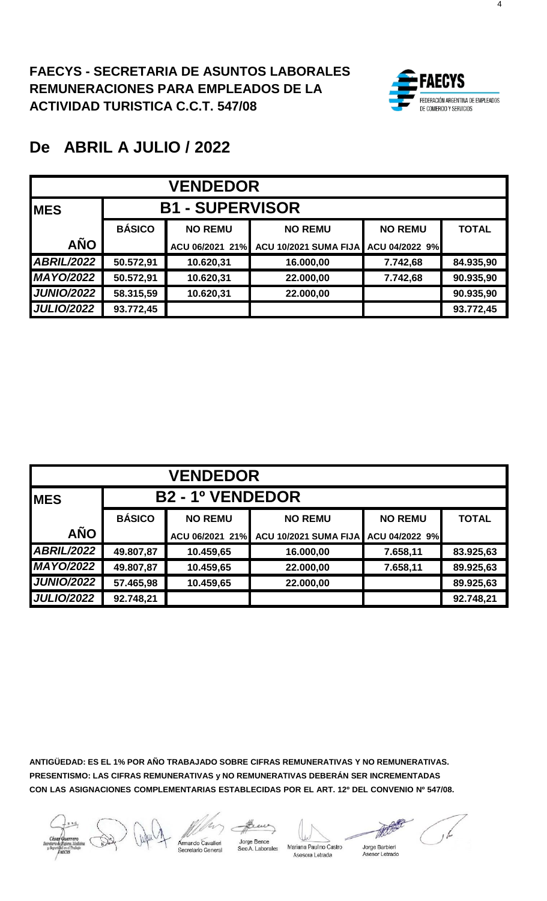

| <b>VENDEDOR</b>   |               |                        |                              |                |              |  |  |  |
|-------------------|---------------|------------------------|------------------------------|----------------|--------------|--|--|--|
| <b>IMES</b>       |               | <b>B1 - SUPERVISOR</b> |                              |                |              |  |  |  |
|                   | <b>BÁSICO</b> | <b>NO REMU</b>         | <b>NO REMU</b>               | <b>NO REMU</b> | <b>TOTAL</b> |  |  |  |
| <b>AÑO</b>        |               | ACU 06/2021 21%        | <b>ACU 10/2021 SUMA FIJA</b> | ACU 04/2022 9% |              |  |  |  |
| <b>ABRIL/2022</b> | 50.572,91     | 10.620,31              | 16.000,00                    | 7.742,68       | 84.935,90    |  |  |  |
| <b>MAYO/2022</b>  | 50.572,91     | 10.620,31              | 22.000,00                    | 7.742,68       | 90.935,90    |  |  |  |
| <b>JUNIO/2022</b> | 58.315,59     | 10.620,31              | 22.000,00                    |                | 90.935,90    |  |  |  |
| <b>JULIO/2022</b> | 93.772,45     |                        |                              |                | 93.772,45    |  |  |  |

| <b>VENDEDOR</b>                       |               |                 |                              |                |              |  |  |  |
|---------------------------------------|---------------|-----------------|------------------------------|----------------|--------------|--|--|--|
| <b>B2 - 1º VENDEDOR</b><br><b>MES</b> |               |                 |                              |                |              |  |  |  |
|                                       | <b>BÁSICO</b> | <b>NO REMU</b>  | <b>NO REMU</b>               | <b>NO REMU</b> | <b>TOTAL</b> |  |  |  |
| <b>AÑO</b>                            |               | ACU 06/2021 21% | <b>ACU 10/2021 SUMA FIJA</b> | ACU 04/2022 9% |              |  |  |  |
| <b>ABRIL/2022</b>                     | 49.807,87     | 10.459,65       | 16.000,00                    | 7.658,11       | 83.925,63    |  |  |  |
| <b>MAYO/2022</b>                      | 49.807,87     | 10.459,65       | 22.000,00                    | 7.658,11       | 89.925,63    |  |  |  |
| <b>JUNIO/2022</b>                     | 57.465,98     | 10.459,65       | 22.000,00                    |                | 89.925,63    |  |  |  |
| <b>JULIO/2022</b>                     | 92.748,21     |                 |                              |                | 92.748,21    |  |  |  |

**ANTIGÜEDAD: ES EL 1% POR AÑO TRABAJADO SOBRE CIFRAS REMUNERATIVAS Y NO REMUNERATIVAS. PRESENTISMO: LAS CIFRAS REMUNERATIVAS y NO REMUNERATIVAS DEBERÁN SER INCREMENTADAS CON LAS ASIGNACIONES COMPLEMENTARIAS ESTABLECIDAS POR EL ART. 12º DEL CONVENIO Nº 547/08.**

mardo Cavalieri

Jorge Bence Sec A. Laborales

Mariana Paulno Castro Asesora Letrada

Jorge Barbieri Asesor Letrado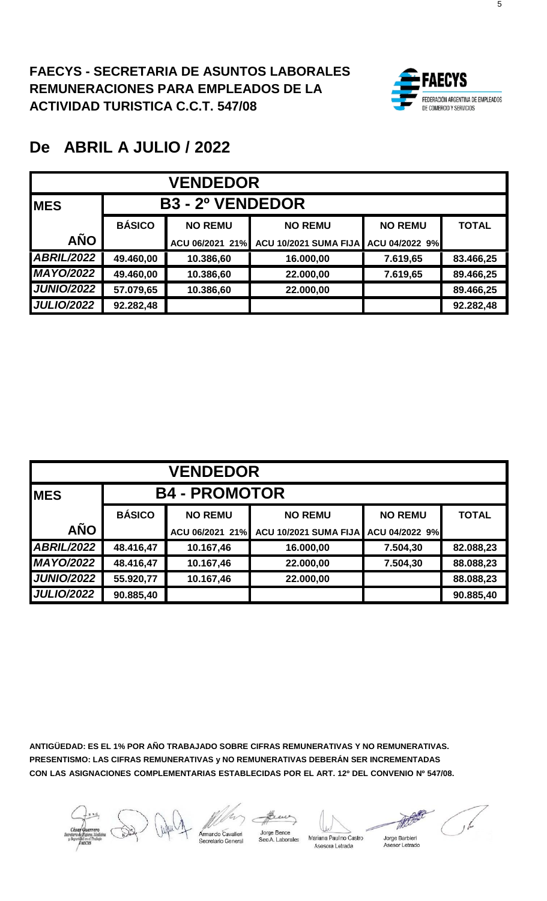

| <b>VENDEDOR</b>   |               |                         |                       |                |              |  |  |  |
|-------------------|---------------|-------------------------|-----------------------|----------------|--------------|--|--|--|
| <b>MES</b>        |               | <b>B3 - 2º VENDEDOR</b> |                       |                |              |  |  |  |
|                   | <b>BÁSICO</b> | <b>NO REMU</b>          | <b>NO REMU</b>        | <b>NO REMU</b> | <b>TOTAL</b> |  |  |  |
| <b>AÑO</b>        |               | ACU 06/2021 21%         | ACU 10/2021 SUMA FIJA | ACU 04/2022 9% |              |  |  |  |
| <b>ABRIL/2022</b> | 49.460,00     | 10.386,60               | 16.000,00             | 7.619,65       | 83.466,25    |  |  |  |
| <b>MAYO/2022</b>  | 49.460,00     | 10.386,60               | 22.000,00             | 7.619,65       | 89.466,25    |  |  |  |
| <b>JUNIO/2022</b> | 57.079,65     | 10.386,60               | 22.000,00             |                | 89.466,25    |  |  |  |
| <b>JULIO/2022</b> | 92.282,48     |                         |                       |                | 92.282,48    |  |  |  |

| <b>VENDEDOR</b>   |               |                      |                              |                |              |  |  |  |  |
|-------------------|---------------|----------------------|------------------------------|----------------|--------------|--|--|--|--|
| <b>IMES</b>       |               | <b>B4 - PROMOTOR</b> |                              |                |              |  |  |  |  |
|                   | <b>BÁSICO</b> | <b>NO REMU</b>       | <b>NO REMU</b>               | <b>NO REMU</b> | <b>TOTAL</b> |  |  |  |  |
| <b>AÑO</b>        |               | ACU 06/2021 21%      | <b>ACU 10/2021 SUMA FIJA</b> | ACU 04/2022 9% |              |  |  |  |  |
| <b>ABRIL/2022</b> | 48.416,47     | 10.167,46            | 16.000,00                    | 7.504,30       | 82.088,23    |  |  |  |  |
| <b>MAYO/2022</b>  | 48.416,47     | 10.167,46            | 22.000,00                    | 7.504,30       | 88.088,23    |  |  |  |  |
| <b>JUNIO/2022</b> | 55.920,77     | 10.167,46            | 22.000,00                    |                | 88.088,23    |  |  |  |  |
| <b>JULIO/2022</b> | 90.885,40     |                      |                              |                | 90.885,40    |  |  |  |  |

**ANTIGÜEDAD: ES EL 1% POR AÑO TRABAJADO SOBRE CIFRAS REMUNERATIVAS Y NO REMUNERATIVAS. PRESENTISMO: LAS CIFRAS REMUNERATIVAS y NO REMUNERATIVAS DEBERÁN SER INCREMENTADAS CON LAS ASIGNACIONES COMPLEMENTARIAS ESTABLECIDAS POR EL ART. 12º DEL CONVENIO Nº 547/08.**

mando Cavalieri

Jorge Bence<br>Sec A. Laborales

Mariana Paulno Castro Asesora Letrada

The Jorge Barbieri Asesor Letrado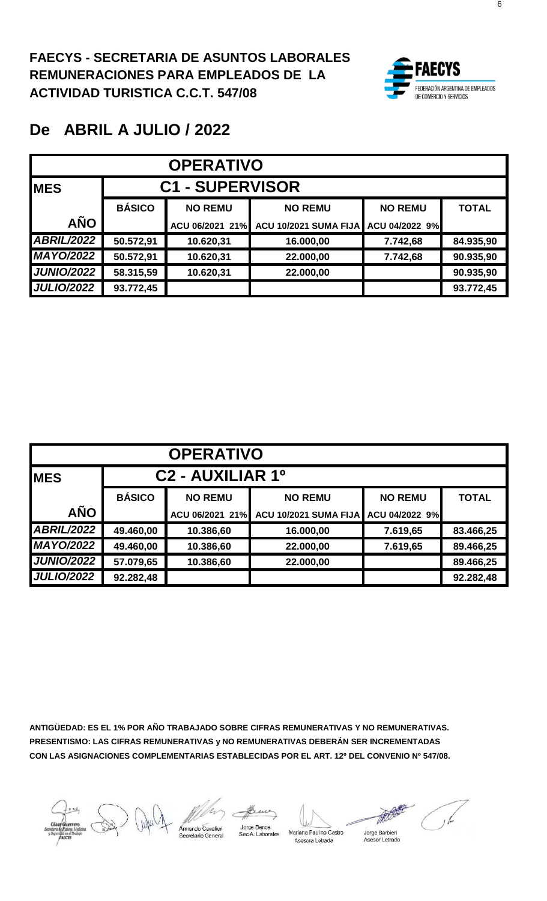

| <b>OPERATIVO</b>  |               |                        |                       |                |              |  |  |  |
|-------------------|---------------|------------------------|-----------------------|----------------|--------------|--|--|--|
| <b>MES</b>        |               | <b>C1 - SUPERVISOR</b> |                       |                |              |  |  |  |
|                   | <b>BÁSICO</b> | <b>NO REMU</b>         | <b>NO REMU</b>        | <b>NO REMU</b> | <b>TOTAL</b> |  |  |  |
| <b>AÑO</b>        |               | ACU 06/2021 21%        | ACU 10/2021 SUMA FIJA | ACU 04/2022 9% |              |  |  |  |
| <b>ABRIL/2022</b> | 50.572,91     | 10.620,31              | 16.000,00             | 7.742,68       | 84.935,90    |  |  |  |
| <b>MAYO/2022</b>  | 50.572,91     | 10.620,31              | 22.000,00             | 7.742,68       | 90.935,90    |  |  |  |
| <b>JUNIO/2022</b> | 58.315,59     | 10.620,31              | 22.000,00             |                | 90.935,90    |  |  |  |
| <b>JULIO/2022</b> | 93.772,45     |                        |                       |                | 93.772,45    |  |  |  |

| <b>OPERATIVO</b>  |               |                              |                       |                |              |  |  |  |  |
|-------------------|---------------|------------------------------|-----------------------|----------------|--------------|--|--|--|--|
| <b>IMES</b>       |               | C <sub>2</sub> - AUXILIAR 1º |                       |                |              |  |  |  |  |
|                   | <b>BÁSICO</b> | <b>NO REMU</b>               | <b>NO REMU</b>        | <b>NO REMU</b> | <b>TOTAL</b> |  |  |  |  |
| <b>AÑO</b>        |               | ACU 06/2021 21%              | ACU 10/2021 SUMA FIJA | ACU 04/2022 9% |              |  |  |  |  |
| <b>ABRIL/2022</b> | 49.460,00     | 10.386,60                    | 16.000,00             | 7.619,65       | 83.466,25    |  |  |  |  |
| <b>MAYO/2022</b>  | 49.460,00     | 10.386,60                    | 22.000,00             | 7.619,65       | 89.466,25    |  |  |  |  |
| <b>JUNIO/2022</b> | 57.079,65     | 10.386,60                    | 22.000,00             |                | 89.466,25    |  |  |  |  |
| <b>JULIO/2022</b> | 92.282,48     |                              |                       |                | 92.282,48    |  |  |  |  |

**ANTIGÜEDAD: ES EL 1% POR AÑO TRABAJADO SOBRE CIFRAS REMUNERATIVAS Y NO REMUNERATIVAS. PRESENTISMO: LAS CIFRAS REMUNERATIVAS y NO REMUNERATIVAS DEBERÁN SER INCREMENTADAS CON LAS ASIGNACIONES COMPLEMENTARIAS ESTABLECIDAS POR EL ART. 12º DEL CONVENIO Nº 547/08.**





Jorge Bence Sec A. Laborales

Mariana Paulno Castro Asesora Letrada

Jorge Barbieri Asesor Letrado

6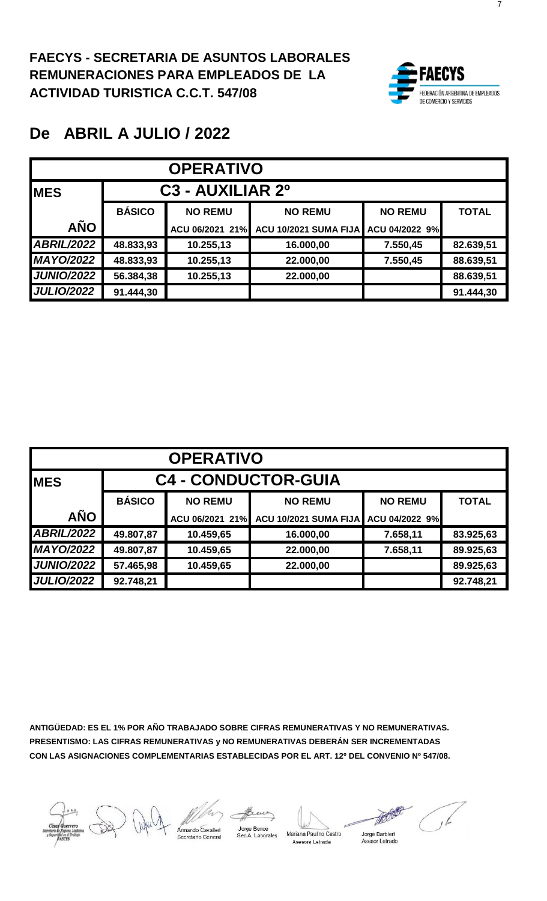

| <b>OPERATIVO</b>  |               |                                          |                              |                |              |  |  |  |
|-------------------|---------------|------------------------------------------|------------------------------|----------------|--------------|--|--|--|
| <b>IMES</b>       |               | C <sub>3</sub> - AUXILIAR 2 <sup>0</sup> |                              |                |              |  |  |  |
|                   | <b>BÁSICO</b> | <b>NO REMU</b>                           | <b>NO REMU</b>               | <b>NO REMU</b> | <b>TOTAL</b> |  |  |  |
| <b>AÑO</b>        |               | ACU 06/2021 21%                          | <b>ACU 10/2021 SUMA FIJA</b> | ACU 04/2022 9% |              |  |  |  |
| <b>ABRIL/2022</b> | 48.833,93     | 10.255,13                                | 16.000,00                    | 7.550,45       | 82.639,51    |  |  |  |
| <b>MAYO/2022</b>  | 48.833,93     | 10.255,13                                | 22.000,00                    | 7.550,45       | 88.639,51    |  |  |  |
| <b>JUNIO/2022</b> | 56.384,38     | 10.255,13                                | 22.000,00                    |                | 88.639,51    |  |  |  |
| <b>JULIO/2022</b> | 91.444,30     |                                          |                              |                | 91.444,30    |  |  |  |

| <b>OPERATIVO</b>  |               |                            |                              |                |              |  |  |  |
|-------------------|---------------|----------------------------|------------------------------|----------------|--------------|--|--|--|
| <b>MES</b>        |               | <b>C4 - CONDUCTOR-GUIA</b> |                              |                |              |  |  |  |
|                   | <b>BÁSICO</b> | <b>NO REMU</b>             | <b>NO REMU</b>               | <b>NO REMU</b> | <b>TOTAL</b> |  |  |  |
| <b>AÑO</b>        |               | ACU 06/2021 21%            | <b>ACU 10/2021 SUMA FIJA</b> | ACU 04/2022 9% |              |  |  |  |
| <b>ABRIL/2022</b> | 49.807,87     | 10.459,65                  | 16.000,00                    | 7.658,11       | 83.925,63    |  |  |  |
| <b>MAYO/2022</b>  | 49.807,87     | 10.459,65                  | 22.000,00                    | 7.658,11       | 89.925,63    |  |  |  |
| <b>JUNIO/2022</b> | 57.465,98     | 10.459,65                  | 22.000,00                    |                | 89.925,63    |  |  |  |
| <b>JULIO/2022</b> | 92.748,21     |                            |                              |                | 92.748,21    |  |  |  |

mardo Cavalieri ecretario General

Jorge Bence<br>Sec A. Laborales

Mariana Paulno Castro Asesora Letrada

Jorge Barbieri<br>Asesor Letrado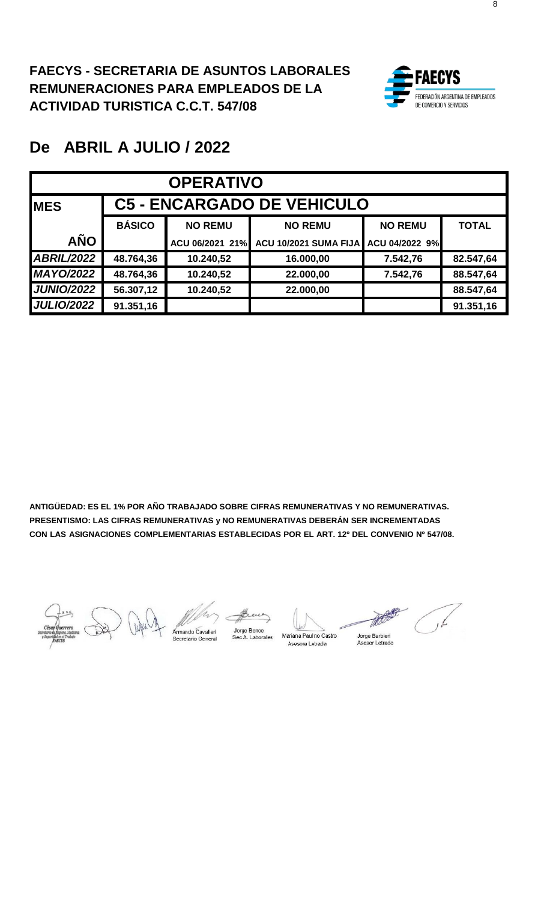

| <b>OPERATIVO</b>  |               |                                   |                       |                |              |  |  |  |
|-------------------|---------------|-----------------------------------|-----------------------|----------------|--------------|--|--|--|
| <b>MES</b>        |               | <b>C5 - ENCARGADO DE VEHICULO</b> |                       |                |              |  |  |  |
|                   | <b>BÁSICO</b> | <b>NO REMU</b>                    | <b>NO REMU</b>        | <b>NO REMU</b> | <b>TOTAL</b> |  |  |  |
| <b>AÑO</b>        |               | ACU 06/2021 21%                   | ACU 10/2021 SUMA FIJA | ACU 04/2022 9% |              |  |  |  |
| <b>ABRIL/2022</b> | 48.764,36     | 10.240,52                         | 16.000,00             | 7.542,76       | 82.547,64    |  |  |  |
| <b>MAYO/2022</b>  | 48.764,36     | 10.240,52                         | 22.000,00             | 7.542,76       | 88.547,64    |  |  |  |
| <b>JUNIO/2022</b> | 56.307,12     | 10.240,52                         | 22.000,00             |                | 88.547,64    |  |  |  |
| <b>JULIO/2022</b> | 91.351,16     |                                   |                       |                | 91.351,16    |  |  |  |

Jorge Bence

Sec A. Laborales

Mariana Paul no Castro Asesora Letrada

بكى

Jorge Barbieri Asesor Letrado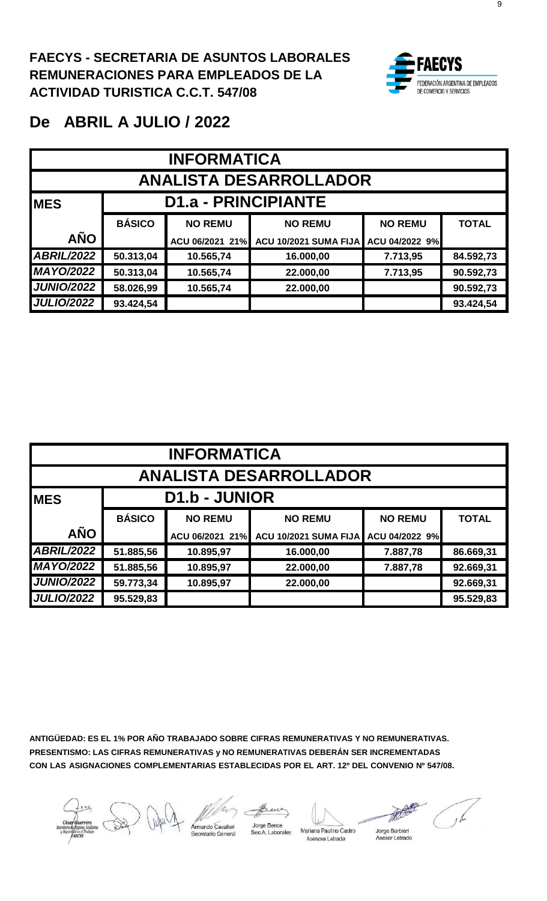

| <b>INFORMATICA</b>            |                                                  |                 |                       |                |              |  |  |  |
|-------------------------------|--------------------------------------------------|-----------------|-----------------------|----------------|--------------|--|--|--|
| <b>ANALISTA DESARROLLADOR</b> |                                                  |                 |                       |                |              |  |  |  |
| <b>IMES</b>                   | <b>D1.a - PRINCIPIANTE</b>                       |                 |                       |                |              |  |  |  |
|                               | <b>BÁSICO</b>                                    | <b>NO REMU</b>  | <b>NO REMU</b>        | <b>NO REMU</b> | <b>TOTAL</b> |  |  |  |
| <b>AÑO</b>                    |                                                  | ACU 06/2021 21% | ACU 10/2021 SUMA FIJA | ACU 04/2022 9% |              |  |  |  |
| <b>ABRIL/2022</b>             | 50.313,04                                        | 10.565,74       | 16.000,00             | 7.713,95       | 84.592,73    |  |  |  |
| <b>MAYO/2022</b>              | 50.313,04                                        | 10.565,74       | 22.000,00             | 7.713,95       | 90.592,73    |  |  |  |
| <b>JUNIO/2022</b>             | 58.026,99<br>10.565,74<br>90.592,73<br>22.000,00 |                 |                       |                |              |  |  |  |
| <b>JULIO/2022</b>             | 93.424,54                                        |                 |                       |                | 93.424,54    |  |  |  |

| <b>INFORMATICA</b>            |                      |                 |                              |                |              |  |  |  |  |
|-------------------------------|----------------------|-----------------|------------------------------|----------------|--------------|--|--|--|--|
| <b>ANALISTA DESARROLLADOR</b> |                      |                 |                              |                |              |  |  |  |  |
| <b>MES</b>                    | <b>D1.b - JUNIOR</b> |                 |                              |                |              |  |  |  |  |
|                               | <b>BÁSICO</b>        | <b>NO REMU</b>  | <b>NO REMU</b>               | <b>NO REMU</b> | <b>TOTAL</b> |  |  |  |  |
| <b>AÑO</b>                    |                      | ACU 06/2021 21% | <b>ACU 10/2021 SUMA FIJA</b> | ACU 04/2022 9% |              |  |  |  |  |
| <b>ABRIL/2022</b>             | 51.885,56            | 10.895,97       | 16.000,00                    | 7.887,78       | 86.669,31    |  |  |  |  |
| <b>MAYO/2022</b>              | 51.885,56            | 10.895,97       | 22.000,00                    | 7.887,78       | 92.669,31    |  |  |  |  |
| <b>JUNIO/2022</b>             | 59.773,34            | 10.895,97       | 22.000,00                    |                | 92.669,31    |  |  |  |  |
| <b>JULIO/2022</b>             | 95.529,83            |                 |                              |                | 95.529,83    |  |  |  |  |

**ANTIGÜEDAD: ES EL 1% POR AÑO TRABAJADO SOBRE CIFRAS REMUNERATIVAS Y NO REMUNERATIVAS. PRESENTISMO: LAS CIFRAS REMUNERATIVAS y NO REMUNERATIVAS DEBERÁN SER INCREMENTADAS CON LAS ASIGNACIONES COMPLEMENTARIAS ESTABLECIDAS POR EL ART. 12º DEL CONVENIO Nº 547/08.**

Jorge Bence<br>Sec A. Labora

Mariana Paul no Castro Asesora Letrada

Jorge Barbieri Asesor Letrado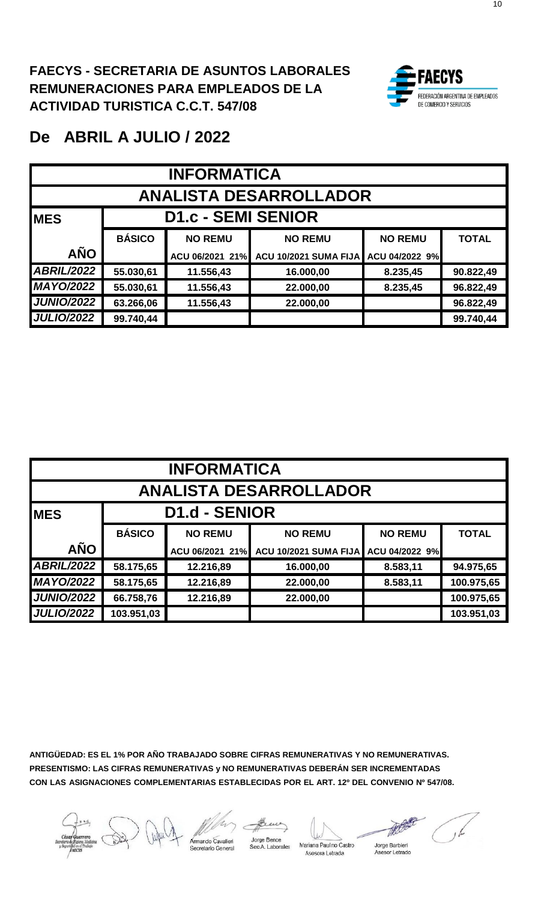

| <b>INFORMATICA</b>            |                           |                 |                       |                |              |  |  |  |
|-------------------------------|---------------------------|-----------------|-----------------------|----------------|--------------|--|--|--|
| <b>ANALISTA DESARROLLADOR</b> |                           |                 |                       |                |              |  |  |  |
| <b>IMES</b>                   | <b>D1.c - SEMI SENIOR</b> |                 |                       |                |              |  |  |  |
|                               | <b>BÁSICO</b>             | <b>NO REMU</b>  | <b>NO REMU</b>        | <b>NO REMU</b> | <b>TOTAL</b> |  |  |  |
| <b>AÑO</b>                    |                           | ACU 06/2021 21% | ACU 10/2021 SUMA FIJA | ACU 04/2022 9% |              |  |  |  |
| <b>ABRIL/2022</b>             | 55.030,61                 | 11.556,43       | 16.000,00             | 8.235,45       | 90.822,49    |  |  |  |
| <b>MAYO/2022</b>              | 55.030,61                 | 11.556,43       | 22.000,00             | 8.235,45       | 96.822,49    |  |  |  |
| <b>JUNIO/2022</b>             | 63.266,06                 | 11.556,43       | 22.000,00             |                | 96.822,49    |  |  |  |
| <b>JULIO/2022</b>             | 99.740,44                 |                 |                       |                | 99.740,44    |  |  |  |

| <b>INFORMATICA</b>            |                      |                 |                       |                |              |  |  |  |
|-------------------------------|----------------------|-----------------|-----------------------|----------------|--------------|--|--|--|
| <b>ANALISTA DESARROLLADOR</b> |                      |                 |                       |                |              |  |  |  |
| <b>MES</b>                    | <b>D1.d - SENIOR</b> |                 |                       |                |              |  |  |  |
|                               | <b>BÁSICO</b>        | <b>NO REMU</b>  | <b>NO REMU</b>        | <b>NO REMU</b> | <b>TOTAL</b> |  |  |  |
| <b>AÑO</b>                    |                      | ACU 06/2021 21% | ACU 10/2021 SUMA FIJA | ACU 04/2022 9% |              |  |  |  |
| <b>ABRIL/2022</b>             | 58.175,65            | 12.216,89       | 16.000,00             | 8.583,11       | 94.975,65    |  |  |  |
| <b>MAYO/2022</b>              | 58.175,65            | 12.216,89       | 22.000,00             | 8.583,11       | 100.975,65   |  |  |  |
| <b>JUNIO/2022</b>             | 66.758,76            | 12.216,89       | 22.000,00             |                | 100.975,65   |  |  |  |
| <b>JULIO/2022</b>             | 103.951,03           |                 |                       |                | 103.951,03   |  |  |  |

**ANTIGÜEDAD: ES EL 1% POR AÑO TRABAJADO SOBRE CIFRAS REMUNERATIVAS Y NO REMUNERATIVAS. PRESENTISMO: LAS CIFRAS REMUNERATIVAS y NO REMUNERATIVAS DEBERÁN SER INCREMENTADAS CON LAS ASIGNACIONES COMPLEMENTARIAS ESTABLECIDAS POR EL ART. 12º DEL CONVENIO Nº 547/08.**

ndo Cavalieri ecretario General

Jorge Bence

Jorge Bence<br>Sec A. Laborales Mariana Paul no Castro Asesora Letrada

Jorge Barbieri .<br>sor Letrado  $\Delta$ se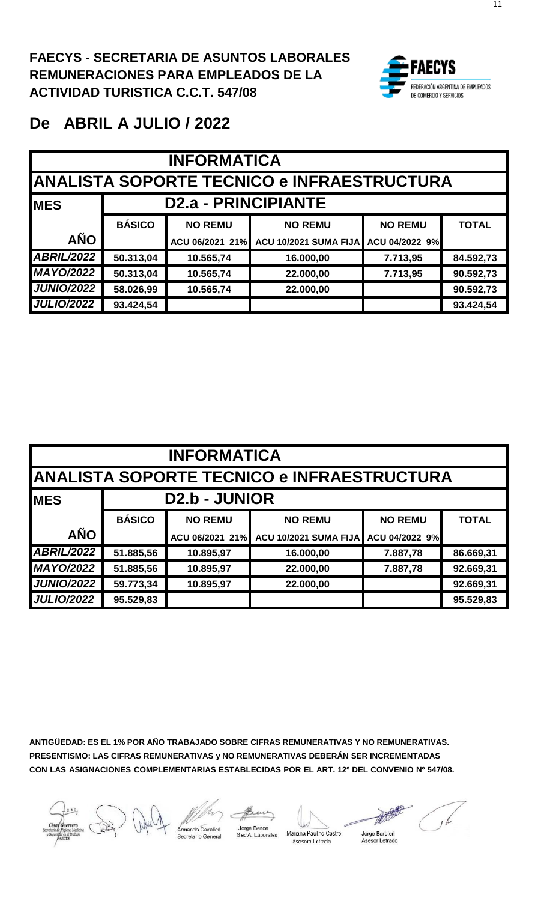

| <b>INFORMATICA</b>                        |                                             |                 |                              |                |              |  |  |  |  |
|-------------------------------------------|---------------------------------------------|-----------------|------------------------------|----------------|--------------|--|--|--|--|
|                                           | IANALISTA SOPORTE TECNICO e INFRAESTRUCTURA |                 |                              |                |              |  |  |  |  |
| <b>D2.a - PRINCIPIANTE</b><br><b>IMES</b> |                                             |                 |                              |                |              |  |  |  |  |
|                                           | <b>BÁSICO</b>                               | <b>NO REMU</b>  | <b>NO REMU</b>               | <b>NO REMU</b> | <b>TOTAL</b> |  |  |  |  |
| <b>AÑO</b>                                |                                             | ACU 06/2021 21% | <b>ACU 10/2021 SUMA FIJA</b> | ACU 04/2022 9% |              |  |  |  |  |
| <b>ABRIL/2022</b>                         | 50.313,04                                   | 10.565,74       | 16.000,00                    | 7.713,95       | 84.592,73    |  |  |  |  |
| <b>MAYO/2022</b>                          | 50.313,04                                   | 10.565,74       | 22.000,00                    | 7.713,95       | 90.592,73    |  |  |  |  |
| <b>JUNIO/2022</b>                         | 58.026,99<br>10.565,74<br>22.000,00         |                 |                              |                |              |  |  |  |  |
| <b>JULIO/2022</b>                         | 93.424,54                                   |                 |                              |                | 93.424,54    |  |  |  |  |

| <b>INFORMATICA</b>                                |                                     |                      |                              |                |              |  |  |  |
|---------------------------------------------------|-------------------------------------|----------------------|------------------------------|----------------|--------------|--|--|--|
| <b>ANALISTA SOPORTE TECNICO e INFRAESTRUCTURA</b> |                                     |                      |                              |                |              |  |  |  |
| <b>MES</b>                                        |                                     | <b>D2.b - JUNIOR</b> |                              |                |              |  |  |  |
|                                                   | <b>BÁSICO</b>                       | <b>NO REMU</b>       | <b>NO REMU</b>               | <b>NO REMU</b> | <b>TOTAL</b> |  |  |  |
| <b>AÑO</b>                                        |                                     | ACU 06/2021 21%      | <b>ACU 10/2021 SUMA FIJA</b> | ACU 04/2022 9% |              |  |  |  |
| <b>ABRIL/2022</b>                                 | 51.885,56                           | 10.895,97            | 16.000,00                    | 7.887,78       | 86.669,31    |  |  |  |
| <b>MAYO/2022</b>                                  | 51.885,56                           | 10.895,97            | 22.000,00                    | 7.887,78       | 92.669,31    |  |  |  |
| <b>JUNIO/2022</b>                                 | 59.773,34<br>10.895,97<br>22.000,00 |                      |                              |                |              |  |  |  |
| <b>JULIO/2022</b>                                 | 95.529,83                           |                      |                              |                | 95.529,83    |  |  |  |

cretario General

Jorge Bence<br>Sec A. Laborales Mariana Paul no Castro Asesora Letrada

Jorge Barbieri Asesor Letrado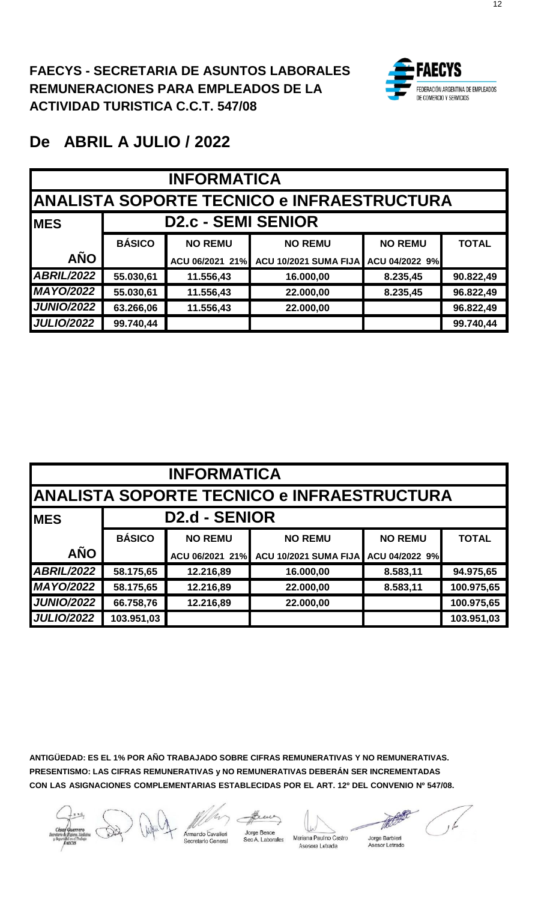

| <b>INFORMATICA</b> |                                             |                           |                              |                |              |  |  |  |  |
|--------------------|---------------------------------------------|---------------------------|------------------------------|----------------|--------------|--|--|--|--|
|                    | IANALISTA SOPORTE TECNICO e INFRAESTRUCTURA |                           |                              |                |              |  |  |  |  |
| <b>MES</b>         |                                             | <b>D2.c - SEMI SENIOR</b> |                              |                |              |  |  |  |  |
|                    | <b>BÁSICO</b>                               | <b>NO REMU</b>            | <b>NO REMU</b>               | <b>NO REMU</b> | <b>TOTAL</b> |  |  |  |  |
| <b>AÑO</b>         |                                             | ACU 06/2021 21%           | <b>ACU 10/2021 SUMA FIJA</b> | ACU 04/2022 9% |              |  |  |  |  |
| <b>ABRIL/2022</b>  | 55.030,61                                   | 11.556,43                 | 16.000,00                    | 8.235,45       | 90.822,49    |  |  |  |  |
| <b>MAYO/2022</b>   | 55.030,61                                   | 11.556,43                 | 22.000,00                    | 8.235,45       | 96.822,49    |  |  |  |  |
| <b>JUNIO/2022</b>  | 63.266,06                                   | 11.556,43                 | 22.000,00                    |                | 96.822,49    |  |  |  |  |
| <b>JULIO/2022</b>  | 99.740,44                                   |                           |                              |                | 99.740,44    |  |  |  |  |

| <b>INFORMATICA</b>                                |                      |                 |                       |                |              |  |  |  |  |
|---------------------------------------------------|----------------------|-----------------|-----------------------|----------------|--------------|--|--|--|--|
| <b>ANALISTA SOPORTE TECNICO e INFRAESTRUCTURA</b> |                      |                 |                       |                |              |  |  |  |  |
| <b>MES</b>                                        | <b>D2.d - SENIOR</b> |                 |                       |                |              |  |  |  |  |
|                                                   | <b>BÁSICO</b>        | <b>NO REMU</b>  | <b>NO REMU</b>        | <b>NO REMU</b> | <b>TOTAL</b> |  |  |  |  |
| <b>AÑO</b>                                        |                      | ACU 06/2021 21% | ACU 10/2021 SUMA FIJA | ACU 04/2022 9% |              |  |  |  |  |
| <b>ABRIL/2022</b>                                 | 58.175,65            | 12.216,89       | 16.000,00             | 8.583,11       | 94.975,65    |  |  |  |  |
| <b>MAYO/2022</b>                                  | 58.175,65            | 12.216,89       | 22.000,00             | 8.583,11       | 100.975,65   |  |  |  |  |
| <b>JUNIO/2022</b>                                 | 66.758,76            | 12.216,89       | 22.000,00             |                | 100.975,65   |  |  |  |  |
| <b>JULIO/2022</b>                                 | 103.951,03           |                 |                       |                | 103.951,03   |  |  |  |  |

**ANTIGÜEDAD: ES EL 1% POR AÑO TRABAJADO SOBRE CIFRAS REMUNERATIVAS Y NO REMUNERATIVAS. PRESENTISMO: LAS CIFRAS REMUNERATIVAS y NO REMUNERATIVAS DEBERÁN SER INCREMENTADAS CON LAS ASIGNACIONES COMPLEMENTARIAS ESTABLECIDAS POR EL ART. 12º DEL CONVENIO Nº 547/08.**

nardo Cavalieri Sec A. Laborales

Jorge Bence

Mariana Paulno Castro

Asesora Letrada

the Jorge Barbieri Asesor Letrado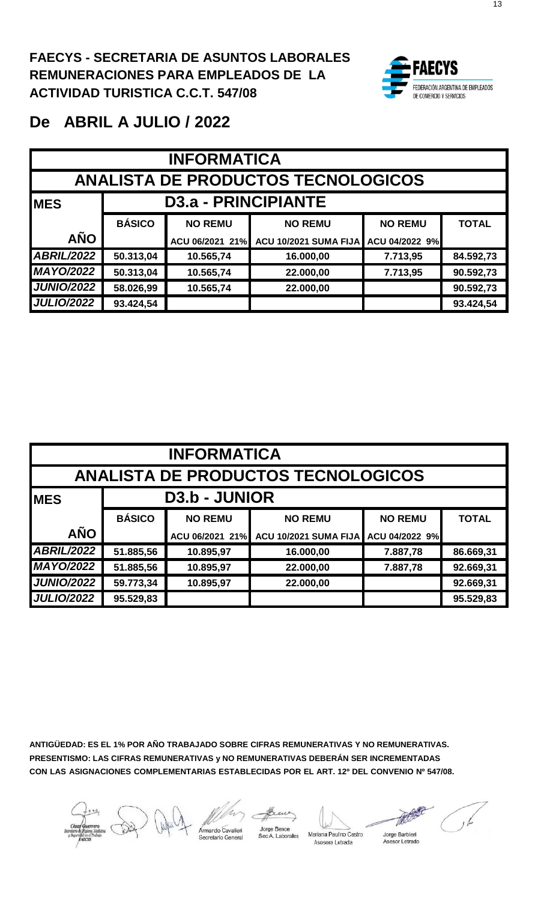

| <b>INFORMATICA</b>                        |                                 |                                     |                              |                |              |  |  |  |  |
|-------------------------------------------|---------------------------------|-------------------------------------|------------------------------|----------------|--------------|--|--|--|--|
| <b>ANALISTA DE PRODUCTOS TECNOLOGICOS</b> |                                 |                                     |                              |                |              |  |  |  |  |
| <b>MES</b>                                | D <sub>3.a</sub> - PRINCIPIANTE |                                     |                              |                |              |  |  |  |  |
|                                           | <b>BÁSICO</b>                   | <b>NO REMU</b>                      | <b>NO REMU</b>               | <b>NO REMU</b> | <b>TOTAL</b> |  |  |  |  |
| <b>AÑO</b>                                |                                 | ACU 06/2021 21%                     | <b>ACU 10/2021 SUMA FIJA</b> | ACU 04/2022 9% |              |  |  |  |  |
| <b>ABRIL/2022</b>                         | 50.313,04                       | 10.565,74                           | 16.000,00                    | 7.713,95       | 84.592,73    |  |  |  |  |
| <b>MAYO/2022</b>                          | 50.313,04                       | 10.565,74                           | 22.000,00                    | 7.713,95       | 90.592,73    |  |  |  |  |
| <b>JUNIO/2022</b>                         | 58.026,99                       | 10.565,74<br>90.592,73<br>22.000,00 |                              |                |              |  |  |  |  |
| <b>JULIO/2022</b>                         | 93.424,54                       |                                     |                              |                | 93.424,54    |  |  |  |  |

| <b>INFORMATICA</b> |                                                  |                      |                       |                |              |  |  |  |  |
|--------------------|--------------------------------------------------|----------------------|-----------------------|----------------|--------------|--|--|--|--|
|                    | <b>ANALISTA DE PRODUCTOS TECNOLOGICOS</b>        |                      |                       |                |              |  |  |  |  |
| <b>MES</b>         |                                                  | <b>D3.b - JUNIOR</b> |                       |                |              |  |  |  |  |
|                    | <b>BÁSICO</b>                                    | <b>NO REMU</b>       | <b>NO REMU</b>        | <b>NO REMU</b> | <b>TOTAL</b> |  |  |  |  |
| <b>AÑO</b>         |                                                  | ACU 06/2021 21%      | ACU 10/2021 SUMA FIJA | ACU 04/2022 9% |              |  |  |  |  |
| <b>ABRIL/2022</b>  | 51.885,56                                        | 10.895,97            | 16.000,00             | 7.887,78       | 86.669,31    |  |  |  |  |
| <b>MAYO/2022</b>   | 51.885,56                                        | 10.895,97            | 22.000,00             | 7.887,78       | 92.669,31    |  |  |  |  |
| <b>JUNIO/2022</b>  | 59.773,34<br>10.895,97<br>92.669,31<br>22.000,00 |                      |                       |                |              |  |  |  |  |
| <b>JULIO/2022</b>  | 95.529,83                                        |                      |                       |                | 95.529,83    |  |  |  |  |

**ANTIGÜEDAD: ES EL 1% POR AÑO TRABAJADO SOBRE CIFRAS REMUNERATIVAS Y NO REMUNERATIVAS. PRESENTISMO: LAS CIFRAS REMUNERATIVAS y NO REMUNERATIVAS DEBERÁN SER INCREMENTADAS CON LAS ASIGNACIONES COMPLEMENTARIAS ESTABLECIDAS POR EL ART. 12º DEL CONVENIO Nº 547/08.**

rmando Cavalieri

Jorge Bence Sec A. Laborales Mariana Paulno Castro

Asesora Letrada

Jorge Barbieri<br>Asesor Letrado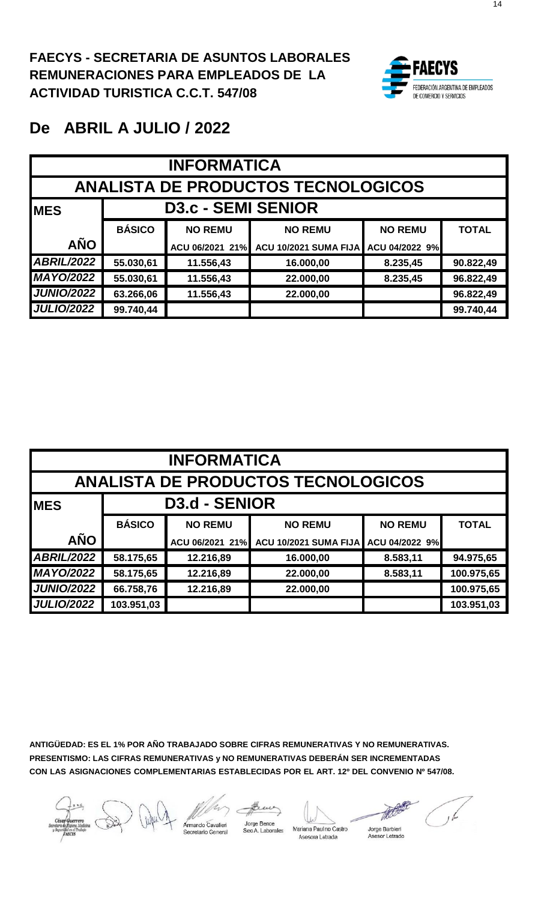

#### **De ABRIL A JULIO / 2022**

| <b>INFORMATICA</b> |                           |                                     |                                           |                |              |  |  |  |  |
|--------------------|---------------------------|-------------------------------------|-------------------------------------------|----------------|--------------|--|--|--|--|
|                    |                           |                                     | <b>ANALISTA DE PRODUCTOS TECNOLOGICOS</b> |                |              |  |  |  |  |
| <b>IMES</b>        | <b>D3.c - SEMI SENIOR</b> |                                     |                                           |                |              |  |  |  |  |
|                    | <b>BÁSICO</b>             | <b>NO REMU</b>                      | <b>NO REMU</b>                            | <b>NO REMU</b> | <b>TOTAL</b> |  |  |  |  |
| <b>AÑO</b>         |                           | ACU 06/2021 21%                     | <b>ACU 10/2021 SUMA FIJA</b>              | ACU 04/2022 9% |              |  |  |  |  |
| <b>ABRIL/2022</b>  | 55.030,61                 | 11.556,43                           | 16.000,00                                 | 8.235,45       | 90.822,49    |  |  |  |  |
| <b>MAYO/2022</b>   | 55.030,61                 | 11.556,43                           | 22.000,00                                 | 8.235,45       | 96.822,49    |  |  |  |  |
| <b>JUNIO/2022</b>  | 63.266,06                 | 11.556,43<br>96.822,49<br>22.000,00 |                                           |                |              |  |  |  |  |
| <b>JULIO/2022</b>  | 99.740,44                 |                                     |                                           |                | 99.740,44    |  |  |  |  |

| <b>INFORMATICA</b> |                                           |                      |                              |                |              |  |  |  |  |
|--------------------|-------------------------------------------|----------------------|------------------------------|----------------|--------------|--|--|--|--|
|                    | <b>ANALISTA DE PRODUCTOS TECNOLOGICOS</b> |                      |                              |                |              |  |  |  |  |
| <b>MES</b>         |                                           | <b>D3.d - SENIOR</b> |                              |                |              |  |  |  |  |
|                    | <b>BÁSICO</b>                             | <b>NO REMU</b>       | <b>NO REMU</b>               | <b>NO REMU</b> | <b>TOTAL</b> |  |  |  |  |
| <b>AÑO</b>         |                                           | ACU 06/2021 21%      | <b>ACU 10/2021 SUMA FIJA</b> | ACU 04/2022 9% |              |  |  |  |  |
| <b>ABRIL/2022</b>  | 58.175,65                                 | 12.216,89            | 16.000,00                    | 8.583,11       | 94.975,65    |  |  |  |  |
| <b>MAYO/2022</b>   | 58.175,65                                 | 12.216,89            | 22.000,00                    | 8.583,11       | 100.975,65   |  |  |  |  |
| <b>JUNIO/2022</b>  | 66.758,76                                 | 12.216,89            | 22.000,00                    |                | 100.975,65   |  |  |  |  |
| <b>JULIO/2022</b>  | 103.951,03                                |                      |                              |                | 103.951,03   |  |  |  |  |

mardo c

Jorge Bence Sec A. Laborales

Mariana Paulno Castro Asesora Letrada

Asesor Letrado

The k Jorge Barbieri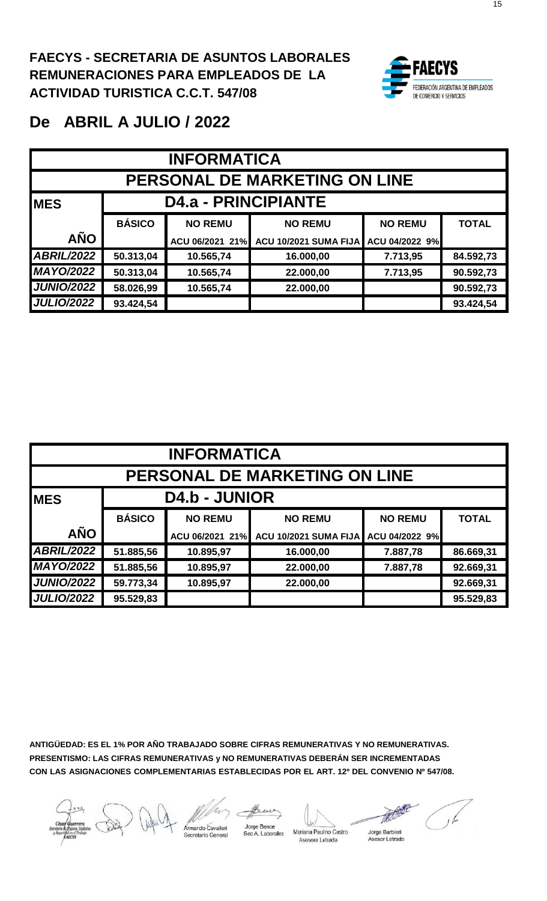

| <b>INFORMATICA</b> |                                      |                                     |                              |                |              |  |  |  |  |
|--------------------|--------------------------------------|-------------------------------------|------------------------------|----------------|--------------|--|--|--|--|
|                    | <b>PERSONAL DE MARKETING ON LINE</b> |                                     |                              |                |              |  |  |  |  |
| <b>IMES</b>        | <b>D4.a - PRINCIPIANTE</b>           |                                     |                              |                |              |  |  |  |  |
|                    | <b>BÁSICO</b>                        | <b>NO REMU</b>                      | <b>NO REMU</b>               | <b>NO REMU</b> | <b>TOTAL</b> |  |  |  |  |
| <b>AÑO</b>         |                                      | ACU 06/2021 21%                     | <b>ACU 10/2021 SUMA FIJA</b> | ACU 04/2022 9% |              |  |  |  |  |
| <b>ABRIL/2022</b>  | 50.313,04                            | 10.565,74                           | 16.000,00                    | 7.713,95       | 84.592,73    |  |  |  |  |
| <b>MAYO/2022</b>   | 50.313,04                            | 10.565,74                           | 22.000,00                    | 7.713,95       | 90.592,73    |  |  |  |  |
| <b>JUNIO/2022</b>  | 58.026,99                            | 10.565,74<br>90.592,73<br>22.000,00 |                              |                |              |  |  |  |  |
| <b>JULIO/2022</b>  | 93.424,54                            |                                     |                              |                | 93.424,54    |  |  |  |  |

| <b>INFORMATICA</b>                   |                      |                 |                              |                |              |  |  |  |  |
|--------------------------------------|----------------------|-----------------|------------------------------|----------------|--------------|--|--|--|--|
| <b>PERSONAL DE MARKETING ON LINE</b> |                      |                 |                              |                |              |  |  |  |  |
| <b>MES</b>                           | <b>D4.b - JUNIOR</b> |                 |                              |                |              |  |  |  |  |
|                                      | <b>BÁSICO</b>        | <b>NO REMU</b>  | <b>NO REMU</b>               | <b>NO REMU</b> | <b>TOTAL</b> |  |  |  |  |
| <b>AÑO</b>                           |                      | ACU 06/2021 21% | <b>ACU 10/2021 SUMA FIJA</b> | ACU 04/2022 9% |              |  |  |  |  |
| <b>ABRIL/2022</b>                    | 51.885,56            | 10.895,97       | 16.000,00                    | 7.887,78       | 86.669,31    |  |  |  |  |
| <b>MAYO/2022</b>                     | 51.885,56            | 10.895,97       | 22.000,00                    | 7.887,78       | 92.669,31    |  |  |  |  |
| <b>JUNIO/2022</b>                    | 59.773,34            | 10.895,97       | 22.000,00                    |                | 92.669,31    |  |  |  |  |
| <b>JULIO/2022</b>                    | 95.529,83            |                 |                              |                | 95.529,83    |  |  |  |  |

**ANTIGÜEDAD: ES EL 1% POR AÑO TRABAJADO SOBRE CIFRAS REMUNERATIVAS Y NO REMUNERATIVAS. PRESENTISMO: LAS CIFRAS REMUNERATIVAS y NO REMUNERATIVAS DEBERÁN SER INCREMENTADAS CON LAS ASIGNACIONES COMPLEMENTARIAS ESTABLECIDAS POR EL ART. 12º DEL CONVENIO Nº 547/08.**

Jorge Bence nardo Cavalieri Sec A. Laborales



Mariana Paulno Castro Asesor Letrado Asesora Letrada

HOOS Jorge Barbieri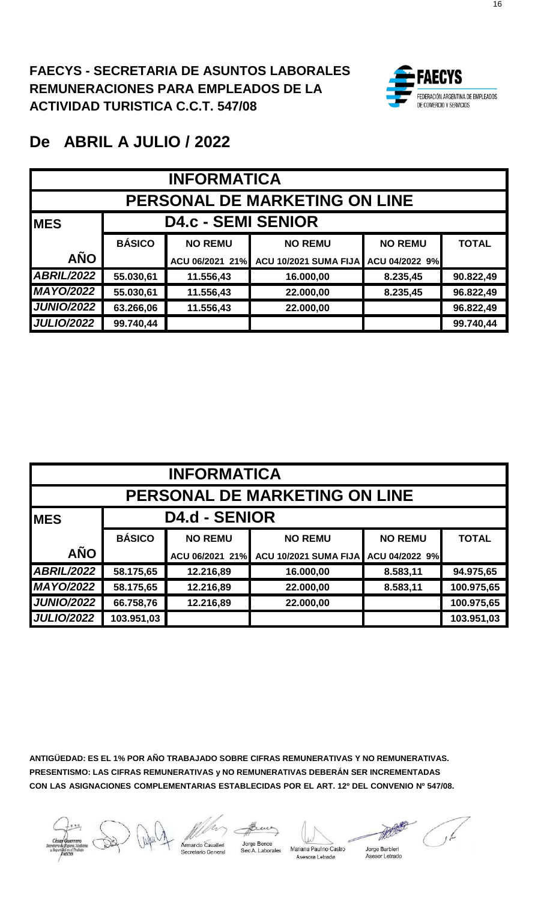

| <b>INFORMATICA</b> |                                      |                                     |                              |                |              |  |  |  |  |
|--------------------|--------------------------------------|-------------------------------------|------------------------------|----------------|--------------|--|--|--|--|
|                    | <b>PERSONAL DE MARKETING ON LINE</b> |                                     |                              |                |              |  |  |  |  |
| <b>MES</b>         |                                      | <b>D4.c - SEMI SENIOR</b>           |                              |                |              |  |  |  |  |
|                    | <b>BÁSICO</b>                        | <b>NO REMU</b>                      | <b>NO REMU</b>               | <b>NO REMU</b> | <b>TOTAL</b> |  |  |  |  |
| <b>AÑO</b>         |                                      | ACU 06/2021 21%                     | <b>ACU 10/2021 SUMA FIJA</b> | ACU 04/2022 9% |              |  |  |  |  |
| <b>ABRIL/2022</b>  | 55.030,61                            | 11.556,43                           | 16.000,00                    | 8.235,45       | 90.822,49    |  |  |  |  |
| <b>MAYO/2022</b>   | 55.030,61                            | 11.556,43                           | 22.000,00                    | 8.235,45       | 96.822,49    |  |  |  |  |
| <b>JUNIO/2022</b>  | 63.266,06                            | 11.556,43<br>96.822,49<br>22.000,00 |                              |                |              |  |  |  |  |
| <b>JULIO/2022</b>  | 99.740,44                            |                                     |                              |                | 99.740,44    |  |  |  |  |

|                                      | <b>INFORMATICA</b> |                      |                       |                |              |  |  |  |  |
|--------------------------------------|--------------------|----------------------|-----------------------|----------------|--------------|--|--|--|--|
| <b>PERSONAL DE MARKETING ON LINE</b> |                    |                      |                       |                |              |  |  |  |  |
| <b>IMES</b>                          |                    | <b>D4.d - SENIOR</b> |                       |                |              |  |  |  |  |
|                                      | <b>BÁSICO</b>      | <b>NO REMU</b>       | <b>NO REMU</b>        | <b>NO REMU</b> | <b>TOTAL</b> |  |  |  |  |
| <b>AÑO</b>                           |                    | ACU 06/2021 21%      | ACU 10/2021 SUMA FIJA | ACU 04/2022 9% |              |  |  |  |  |
| <b>ABRIL/2022</b>                    | 58.175,65          | 12.216,89            | 16.000,00             | 8.583,11       | 94.975,65    |  |  |  |  |
| <b>MAYO/2022</b>                     | 58.175,65          | 12.216,89            | 22.000,00             | 8.583,11       | 100.975,65   |  |  |  |  |
| <b>JUNIO/2022</b>                    | 66.758,76          | 12.216,89            | 22.000,00             |                | 100.975,65   |  |  |  |  |
| <b>JULIO/2022</b>                    | 103.951,03         |                      |                       |                | 103.951,03   |  |  |  |  |

mardo Cavalieri

Jorge Bence Sec A. Laborales



Mariana Paul no Castro Asesora Letrada

Jorge Barbieri<br>Asesor Letrado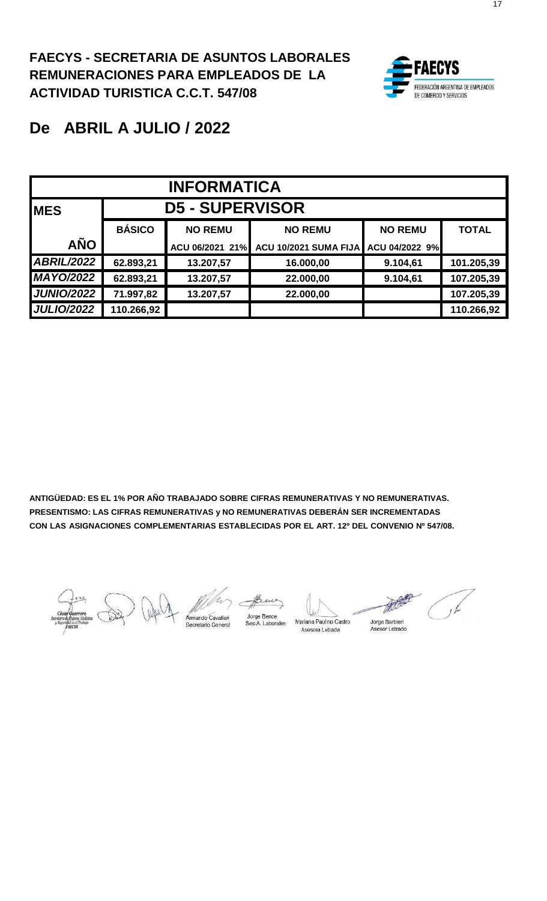

# **De ABRIL A JULIO / 2022**

| <b>INFORMATICA</b> |               |                        |                              |                |              |  |  |
|--------------------|---------------|------------------------|------------------------------|----------------|--------------|--|--|
| <b>IMES</b>        |               | <b>D5 - SUPERVISOR</b> |                              |                |              |  |  |
|                    | <b>BÁSICO</b> | <b>NO REMU</b>         | <b>NO REMU</b>               | <b>NO REMU</b> | <b>TOTAL</b> |  |  |
| <b>AÑO</b>         |               | ACU 06/2021 21%        | <b>ACU 10/2021 SUMA FIJA</b> | ACU 04/2022 9% |              |  |  |
| <b>ABRIL/2022</b>  | 62.893,21     | 13.207,57              | 16.000,00                    | 9.104,61       | 101.205,39   |  |  |
| <b>MAYO/2022</b>   | 62.893,21     | 13.207,57              | 22.000,00                    | 9.104,61       | 107.205,39   |  |  |
| <b>JUNIO/2022</b>  | 71.997,82     | 13.207,57              | 22.000,00                    |                | 107.205,39   |  |  |
| <b>JULIO/2022</b>  | 110.266,92    |                        |                              |                | 110.266,92   |  |  |

ando Cavalieri<br>Interio Concert

Jorge Bence<br>Sec A. Laborales

Mariana Paulno Castro Asesora Letrada

Jorge Barbieri Asesor Letrado

کے ر

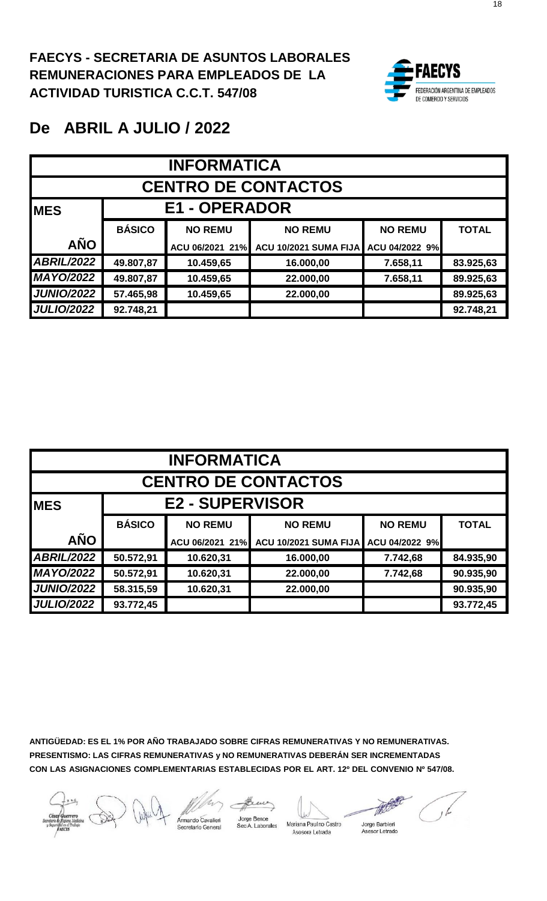

| <b>INFORMATICA</b> |                                                  |                 |                       |                |              |  |  |  |  |
|--------------------|--------------------------------------------------|-----------------|-----------------------|----------------|--------------|--|--|--|--|
|                    | <b>CENTRO DE CONTACTOS</b>                       |                 |                       |                |              |  |  |  |  |
| <b>IMES</b>        | <b>E1 - OPERADOR</b>                             |                 |                       |                |              |  |  |  |  |
|                    | <b>BÁSICO</b>                                    | <b>NO REMU</b>  | <b>NO REMU</b>        | <b>NO REMU</b> | <b>TOTAL</b> |  |  |  |  |
| <b>AÑO</b>         |                                                  | ACU 06/2021 21% | ACU 10/2021 SUMA FIJA | ACU 04/2022 9% |              |  |  |  |  |
| <b>ABRIL/2022</b>  | 49.807,87                                        | 10.459,65       | 16.000,00             | 7.658,11       | 83.925,63    |  |  |  |  |
| <b>MAYO/2022</b>   | 49.807,87                                        | 10.459,65       | 22.000,00             | 7.658,11       | 89.925,63    |  |  |  |  |
| <b>JUNIO/2022</b>  | 57.465,98<br>10.459,65<br>89.925,63<br>22.000,00 |                 |                       |                |              |  |  |  |  |
| <b>JULIO/2022</b>  | 92.748,21                                        |                 |                       |                | 92.748,21    |  |  |  |  |

| <b>INFORMATICA</b>         |               |                        |                              |                |              |  |  |  |
|----------------------------|---------------|------------------------|------------------------------|----------------|--------------|--|--|--|
| <b>CENTRO DE CONTACTOS</b> |               |                        |                              |                |              |  |  |  |
| <b>IMES</b>                |               | <b>E2 - SUPERVISOR</b> |                              |                |              |  |  |  |
|                            | <b>BÁSICO</b> | <b>NO REMU</b>         | <b>NO REMU</b>               | <b>NO REMU</b> | <b>TOTAL</b> |  |  |  |
| <b>AÑO</b>                 |               | ACU 06/2021 21%        | <b>ACU 10/2021 SUMA FIJA</b> | ACU 04/2022 9% |              |  |  |  |
| <b>ABRIL/2022</b>          | 50.572,91     | 10.620,31              | 16.000,00                    | 7.742,68       | 84.935,90    |  |  |  |
| <b>MAYO/2022</b>           | 50.572,91     | 10.620,31              | 22.000,00                    | 7.742,68       | 90.935,90    |  |  |  |
| <b>JUNIO/2022</b>          | 58.315,59     | 10.620,31              | 22.000,00                    |                | 90.935,90    |  |  |  |
| <b>JULIO/2022</b>          | 93.772,45     |                        |                              |                | 93.772,45    |  |  |  |

mando Cavalieri

Jorge Bence<br>Sec A. Laborales

Mariana Paulno Castro

Jorge Barbieri Asesora Letrada Asesor Letrado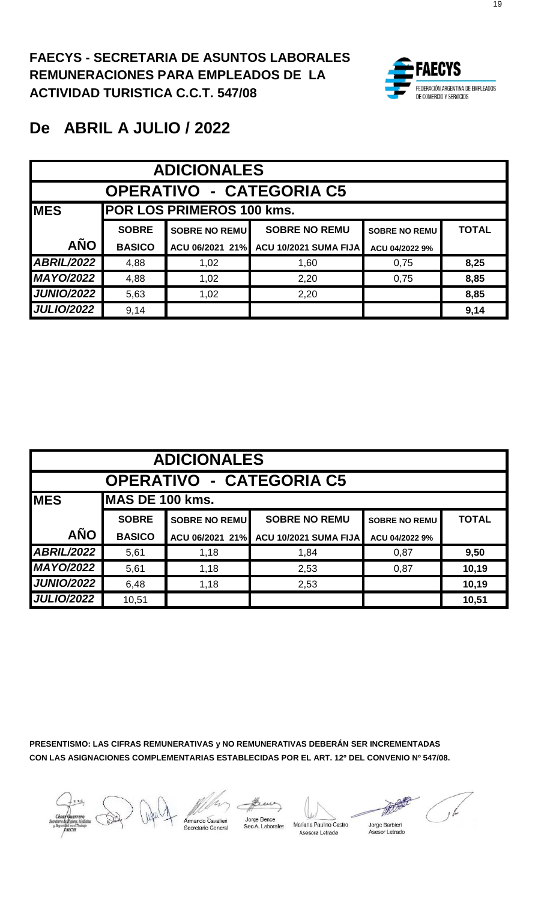

# **De ABRIL A JULIO / 2022**

|                   | <b>ADICIONALES</b>              |                                  |                                       |                      |              |  |  |  |  |
|-------------------|---------------------------------|----------------------------------|---------------------------------------|----------------------|--------------|--|--|--|--|
|                   | <b>OPERATIVO - CATEGORIA C5</b> |                                  |                                       |                      |              |  |  |  |  |
| <b>IMES</b>       |                                 | <b>POR LOS PRIMEROS 100 kms.</b> |                                       |                      |              |  |  |  |  |
|                   | <b>SOBRE</b>                    | <b>SOBRE NO REMU</b>             | <b>SOBRE NO REMU</b>                  | <b>SOBRE NO REMU</b> | <b>TOTAL</b> |  |  |  |  |
| <b>AÑO</b>        | <b>BASICO</b>                   |                                  | ACU 06/2021 21% ACU 10/2021 SUMA FIJA | ACU 04/2022 9%       |              |  |  |  |  |
| <b>ABRIL/2022</b> | 4,88                            | 1,02                             | 1,60                                  | 0,75                 | 8,25         |  |  |  |  |
| <b>MAYO/2022</b>  | 4,88                            | 1,02                             | 2,20                                  | 0,75                 | 8,85         |  |  |  |  |
| <b>JUNIO/2022</b> | 5,63                            | 1,02                             | 2,20                                  |                      | 8,85         |  |  |  |  |
| <b>JULIO/2022</b> | 9,14                            |                                  |                                       |                      | 9,14         |  |  |  |  |

|                   | <b>ADICIONALES</b>              |                      |                              |                      |              |  |  |  |  |
|-------------------|---------------------------------|----------------------|------------------------------|----------------------|--------------|--|--|--|--|
|                   | <b>OPERATIVO - CATEGORIA C5</b> |                      |                              |                      |              |  |  |  |  |
| <b>MES</b>        | MAS DE 100 kms.                 |                      |                              |                      |              |  |  |  |  |
|                   | <b>SOBRE</b>                    | <b>SOBRE NO REMU</b> | <b>SOBRE NO REMU</b>         | <b>SOBRE NO REMU</b> | <b>TOTAL</b> |  |  |  |  |
| <b>AÑO</b>        | <b>BASICO</b>                   | ACU 06/2021 21%      | <b>ACU 10/2021 SUMA FIJA</b> | ACU 04/2022 9%       |              |  |  |  |  |
| <b>ABRIL/2022</b> | 5,61                            | 1,18                 | 1,84                         | 0,87                 | 9,50         |  |  |  |  |
| <b>MAYO/2022</b>  | 5,61                            | 1,18                 | 2,53                         | 0,87                 | 10,19        |  |  |  |  |
| <b>JUNIO/2022</b> | 6,48                            | 1,18                 | 2,53                         |                      | 10,19        |  |  |  |  |
| <b>JULIO/2022</b> | 10,51                           |                      |                              |                      | 10,51        |  |  |  |  |

**PRESENTISMO: LAS CIFRAS REMUNERATIVAS y NO REMUNERATIVAS DEBERÁN SER INCREMENTADAS CON LAS ASIGNACIONES COMPLEMENTARIAS ESTABLECIDAS POR EL ART. 12º DEL CONVENIO Nº 547/08.**

mardo Cavalieri

Jorge Bence<br>Sec A. Labora



Mariana Paulno Castro Asesora Letrada

Jorge Barbieri<br>Asesor Letrado